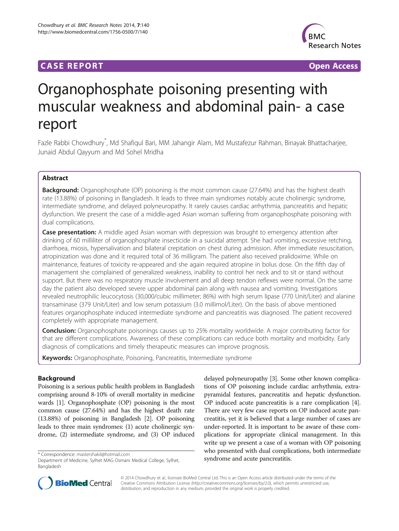# **CASE REPORT CASE REPORT CASE REPORT**



# Organophosphate poisoning presenting with muscular weakness and abdominal pain- a case report

Fazle Rabbi Chowdhury<sup>\*</sup>, Md Shafiqul Bari, MM Jahangir Alam, Md Mustafezur Rahman, Binayak Bhattacharjee, Junaid Abdul Qayyum and Md Sohel Mridha

# Abstract

Background: Organophosphate (OP) poisoning is the most common cause (27.64%) and has the highest death rate (13.88%) of poisoning in Bangladesh. It leads to three main syndromes notably acute cholinergic syndrome, intermediate syndrome, and delayed polyneuropathy. It rarely causes cardiac arrhythmia, pancreatitis and hepatic dysfunction. We present the case of a middle-aged Asian woman suffering from organophosphate poisoning with dual complications.

Case presentation: A middle aged Asian woman with depression was brought to emergency attention after drinking of 60 milliliter of organophosphate insecticide in a suicidal attempt. She had vomiting, excessive retching, diarrhoea, miosis, hypersalivation and bilateral crepitation on chest during admission. After immediate resuscitation, atropinization was done and it required total of 36 milligram. The patient also received pralidoxime. While on maintenance, features of toxicity re-appeared and she again required atropine in bolus dose. On the fifth day of management she complained of generalized weakness, inability to control her neck and to sit or stand without support. But there was no respiratory muscle involvement and all deep tendon reflexes were normal. On the same day the patient also developed severe upper abdominal pain along with nausea and vomiting. Investigations revealed neutrophilic leucocytosis (30,000/cubic millimeter; 86%) with high serum lipase (770 Unit/Liter) and alanine transaminase (379 Unit/Liter) and low serum potassium (3.0 millimol/Liter). On the basis of above mentioned features organophosphate induced intermediate syndrome and pancreatitis was diagnosed. The patient recovered completely with appropriate management.

**Conclusion:** Organophosphate poisonings causes up to 25% mortality worldwide. A major contributing factor for that are different complications. Awareness of these complications can reduce both mortality and morbidity. Early diagnosis of complications and timely therapeutic measures can improve prognosis.

Keywords: Organophosphate, Poisoning, Pancreatitis, Intermediate syndrome

# Background

Poisoning is a serious public health problem in Bangladesh comprising around 8-10% of overall mortality in medicine wards [\[1](#page-2-0)]. Organophosphate (OP) poisoning is the most common cause (27.64%) and has the highest death rate (13.88%) of poisoning in Bangladesh [[2](#page-2-0)]. OP poisoning leads to three main syndromes: (1) acute cholinergic syndrome, (2) intermediate syndrome, and (3) OP induced

delayed polyneuropathy [\[3\]](#page-2-0). Some other known complications of OP poisoning include cardiac arrhythmia, extrapyramidal features, pancreatitis and hepatic dysfunction. OP induced acute pancreatitis is a rare complication [[4](#page-2-0)]. There are very few case reports on OP induced acute pancreatitis, yet it is believed that a large number of cases are under-reported. It is important to be aware of these complications for appropriate clinical management. In this write up we present a case of a woman with OP poisoning who presented with dual complications, both intermediate \* Correspondence: [mastershakil@hotmail.com](mailto:mastershakil@hotmail.com)<br>Department of Medicine, Sylhet MAG Osmani Medical College, Sylhet, **syndrome and acute pancreatitis.** 



© 2014 Chowdhury et al.; licensee BioMed Central Ltd. This is an Open Access article distributed under the terms of the Creative Commons Attribution License (<http://creativecommons.org/licenses/by/2.0>), which permits unrestricted use, distribution, and reproduction in any medium, provided the original work is properly credited.

Bangladesh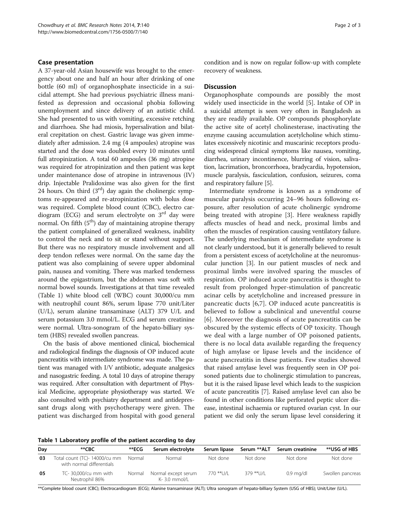#### Case presentation

A 37-year-old Asian housewife was brought to the emergency about one and half an hour after drinking of one bottle (60 ml) of organophosphate insecticide in a suicidal attempt. She had previous psychiatric illness manifested as depression and occasional phobia following unemployment and since delivery of an autistic child. She had presented to us with vomiting, excessive retching and diarrhoea. She had miosis, hypersalivation and bilateral crepitation on chest. Gastric lavage was given immediately after admission. 2.4 mg (4 ampoules) atropine was started and the dose was doubled every 10 minutes until full atropinization. A total 60 ampoules (36 mg) atropine was required for atropinization and then patient was kept under maintenance dose of atropine in intravenous (IV) drip. Injectable Pralidoxime was also given for the first 24 hours. On third  $(3<sup>rd</sup>)$  day again the cholinergic symptoms re-appeared and re-atropinization with bolus dose was required. Complete blood count (CBC), electro cardiogram (ECG) and serum electrolyte on  $3<sup>rd</sup>$  day were normal. On fifth  $(5<sup>th</sup>)$  day of maintaining atropine therapy the patient complained of generalized weakness, inability to control the neck and to sit or stand without support. But there was no respiratory muscle involvement and all deep tendon reflexes were normal. On the same day the patient was also complaining of severe upper abdominal pain, nausea and vomiting. There was marked tenderness around the epigastrium, but the abdomen was soft with normal bowel sounds. Investigations at that time revealed (Table 1) white blood cell (WBC) count 30,000/cu mm with neutrophil count 86%, serum lipase 770 unit/Liter (U/L), serum alanine transaminase (ALT) 379 U/L and serum potassium 3.0 mmol/L. ECG and serum creatinine were normal. Ultra-sonogram of the hepato-billiary system (HBS) revealed swollen pancreas.

On the basis of above mentioned clinical, biochemical and radiological findings the diagnosis of OP induced acute pancreatitis with intermediate syndrome was made. The patient was managed with I/V antibiotic, adequate analgesics and nasogastric feeding. A total 10 days of atropine therapy was required. After consultation with department of Physical Medicine, appropriate physiotherapy was started. We also consulted with psychiatry department and antidepressant drugs along with psychotherapy were given. The patient was discharged from hospital with good general condition and is now on regular follow-up with complete recovery of weakness.

### **Discussion**

Organophosphate compounds are possibly the most widely used insecticide in the world [\[5](#page-2-0)]. Intake of OP in a suicidal attempt is seen very often in Bangladesh as they are readily available. OP compounds phosphorylate the active site of acetyl cholinesterase, inactivating the enzyme causing accumulation acetylcholine which stimulates excessively nicotinic and muscarinic receptors producing widespread clinical symptoms like nausea, vomiting, diarrhea, urinary incontinence, blurring of vision, salivation, lacrimation, broncorrhoea, bradycardia, hypotension, muscle paralysis, fasciculation, confusion, seizures, coma and respiratory failure [\[5\]](#page-2-0).

Intermediate syndrome is known as a syndrome of muscular paralysis occurring 24–96 hours following exposure, after resolution of acute cholinergic syndrome being treated with atropine [[3\]](#page-2-0). Here weakness rapidly affects muscles of head and neck, proximal limbs and often the muscles of respiration causing ventilatory failure. The underlying mechanism of intermediate syndrome is not clearly understood, but it is generally believed to result from a persistent excess of acetylcholine at the neuromuscular junction [[3\]](#page-2-0). In our patient muscles of neck and proximal limbs were involved sparing the muscles of respiration. OP induced acute pancreatitis is thought to result from prolonged hyper-stimulation of pancreatic acinar cells by acetylcholine and increased pressure in pancreatic ducts [\[6,7](#page-2-0)]. OP induced acute pancreatitis is believed to follow a subclinical and uneventful course [[6\]](#page-2-0). Moreover the diagnosis of acute pancreatitis can be obscured by the systemic effects of OP toxicity. Though we deal with a large number of OP poisoned patients, there is no local data available regarding the frequency of high amylase or lipase levels and the incidence of acute pancreatitis in these patients. Few studies showed that raised amylase level was frequently seen in OP poisoned patients due to cholinergic stimulation to pancreas, but it is the raised lipase level which leads to the suspicion of acute pancreatitis [\[7](#page-2-0)]. Raised amylase level can also be found in other conditions like perforated peptic ulcer disease, intestinal ischaemia or ruptured ovarian cyst. In our patient we did only the serum lipase level considering it

Table 1 Laboratory profile of the patient according to day

| Day | **CBC                                                      | **ECG  | Serum electrolyte                   | Serum lipase | Serum **ALT | Serum creatinine    | **USG of HBS     |
|-----|------------------------------------------------------------|--------|-------------------------------------|--------------|-------------|---------------------|------------------|
| -03 | Total count (TC)- 14000/cu mm<br>with normal differentials | Normal | Normal                              | Not done     | Not done    | Not done            | Not done         |
| 05  | TC- 30,000/cu mm with<br>Neutrophil 86%                    | Normal | Normal except serum<br>K-3.0 mmol/L | 770 **U/L    | $379$ **U/L | $0.9 \text{ ma/dl}$ | Swollen pancreas |

\*\*Complete blood count (CBC); Electrocardiogram (ECG); Alanine transaminase (ALT); Ultra sonogram of hepato-billiary System (USG of HBS); Unit/Liter (U/L).